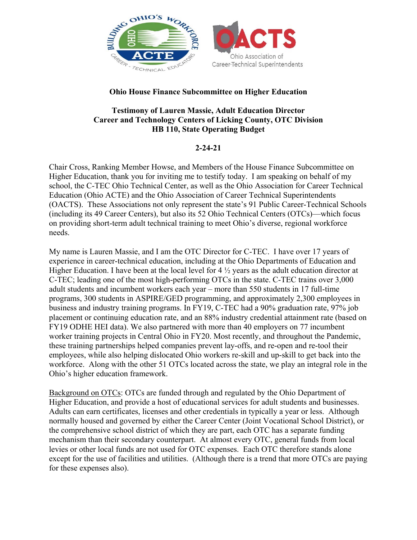

## **Ohio House Finance Subcommittee on Higher Education**

## **Testimony of Lauren Massie, Adult Education Director Career and Technology Centers of Licking County, OTC Division HB 110, State Operating Budget**

## **2-24-21**

Chair Cross, Ranking Member Howse, and Members of the House Finance Subcommittee on Higher Education, thank you for inviting me to testify today. I am speaking on behalf of my school, the C-TEC Ohio Technical Center, as well as the Ohio Association for Career Technical Education (Ohio ACTE) and the Ohio Association of Career Technical Superintendents (OACTS). These Associations not only represent the state's 91 Public Career-Technical Schools (including its 49 Career Centers), but also its 52 Ohio Technical Centers (OTCs)—which focus on providing short-term adult technical training to meet Ohio's diverse, regional workforce needs.

My name is Lauren Massie, and I am the OTC Director for C-TEC. I have over 17 years of experience in career-technical education, including at the Ohio Departments of Education and Higher Education. I have been at the local level for 4 ½ years as the adult education director at C-TEC; leading one of the most high-performing OTCs in the state. C-TEC trains over 3,000 adult students and incumbent workers each year – more than 550 students in 17 full-time programs, 300 students in ASPIRE/GED programming, and approximately 2,300 employees in business and industry training programs. In FY19, C-TEC had a 90% graduation rate, 97% job placement or continuing education rate, and an 88% industry credential attainment rate (based on FY19 ODHE HEI data). We also partnered with more than 40 employers on 77 incumbent worker training projects in Central Ohio in FY20. Most recently, and throughout the Pandemic, these training partnerships helped companies prevent lay-offs, and re-open and re-tool their employees, while also helping dislocated Ohio workers re-skill and up-skill to get back into the workforce. Along with the other 51 OTCs located across the state, we play an integral role in the Ohio's higher education framework.

Background on OTCs: OTCs are funded through and regulated by the Ohio Department of Higher Education, and provide a host of educational services for adult students and businesses. Adults can earn certificates, licenses and other credentials in typically a year or less. Although normally housed and governed by either the Career Center (Joint Vocational School District), or the comprehensive school district of which they are part, each OTC has a separate funding mechanism than their secondary counterpart. At almost every OTC, general funds from local levies or other local funds are not used for OTC expenses. Each OTC therefore stands alone except for the use of facilities and utilities. (Although there is a trend that more OTCs are paying for these expenses also).